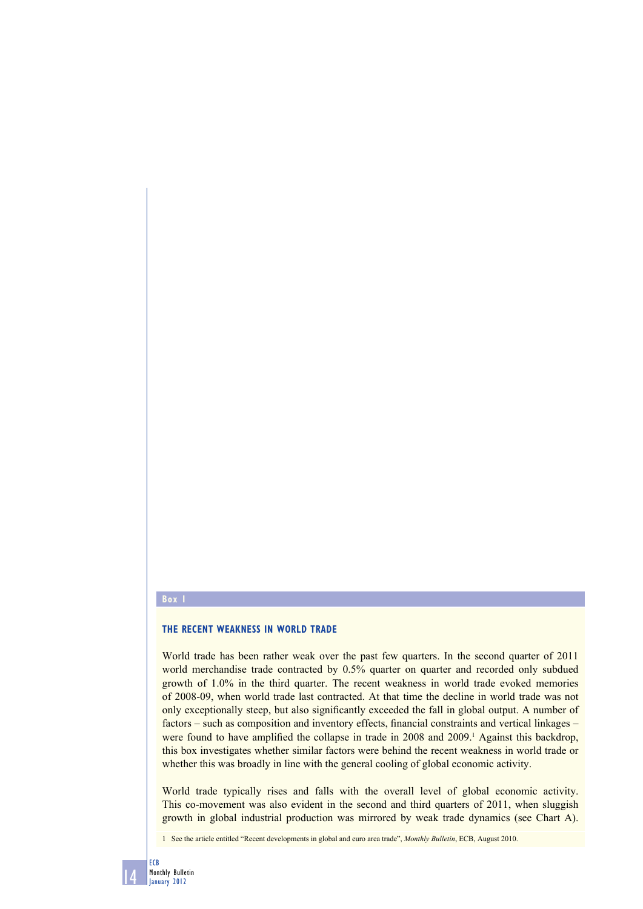## **Box 1**

## **THE RECENT WEAKNESS IN WORLD TRADE**

World trade has been rather weak over the past few quarters. In the second quarter of 2011 world merchandise trade contracted by 0.5% quarter on quarter and recorded only subdued growth of 1.0% in the third quarter. The recent weakness in world trade evoked memories of 2008-09, when world trade last contracted. At that time the decline in world trade was not only exceptionally steep, but also significantly exceeded the fall in global output. A number of factors – such as composition and inventory effects, financial constraints and vertical linkages – were found to have amplified the collapse in trade in 2008 and 2009.<sup>1</sup> Against this backdrop, this box investigates whether similar factors were behind the recent weakness in world trade or whether this was broadly in line with the general cooling of global economic activity.

World trade typically rises and falls with the overall level of global economic activity. This co-movement was also evident in the second and third quarters of 2011, when sluggish growth in global industrial production was mirrored by weak trade dynamics (see Chart A).

1 See the article entitled "Recent developments in global and euro area trade", *Monthly Bulletin*, ECB, August 2010.

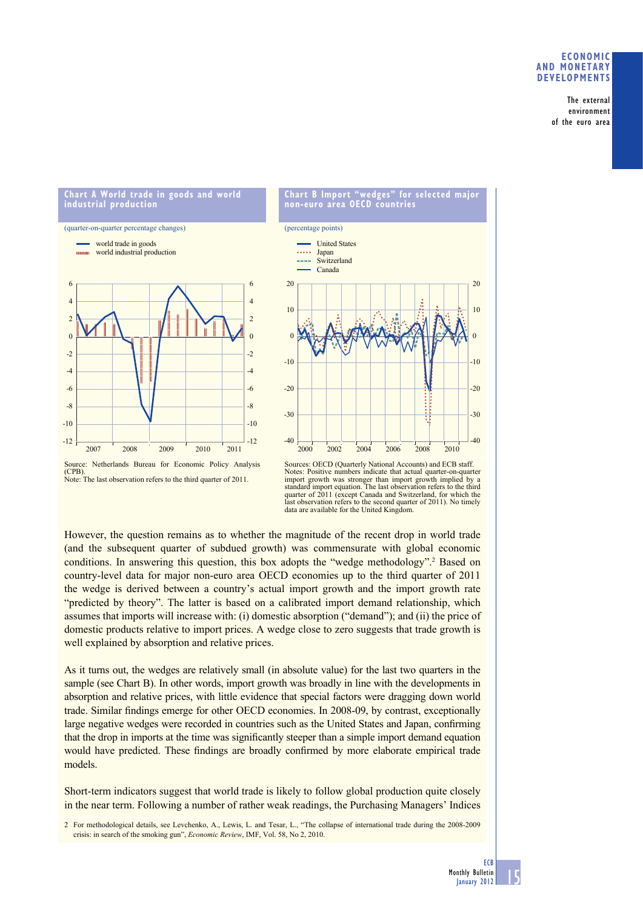## **ECONOMIC AND MONETARY DEVELOPMENTS**

The external environment of the euro area

## **Chart A World trade in goods and world industrial production**

(quarter-on-quarter percentage changes) world trade in goods







Source: Netherlands Bureau for Economic Policy Analysis (CPB). Note: The last observation refers to the third quarter of 2011.

Sources: OECD (Quarterly National Accounts) and ECB staff. Notes: Positive numbers indicate that actual quarter-on-quarter import growth was stronger than import growth implied by a standard import equation. The last observation refers to the third quarter of 2011 (except Canada and Switzerland, for which the last observation refers to the second quarter of 2011). No timely data are available for the United Kingdom.

However, the question remains as to whether the magnitude of the recent drop in world trade (and the subsequent quarter of subdued growth) was commensurate with global economic conditions. In answering this question, this box adopts the "wedge methodology".<sup>2</sup> Based on country-level data for major non-euro area OECD economies up to the third quarter of 2011 the wedge is derived between a country's actual import growth and the import growth rate "predicted by theory". The latter is based on a calibrated import demand relationship, which assumes that imports will increase with: (i) domestic absorption ("demand"); and (ii) the price of domestic products relative to import prices. A wedge close to zero suggests that trade growth is well explained by absorption and relative prices.

As it turns out, the wedges are relatively small (in absolute value) for the last two quarters in the sample (see Chart B). In other words, import growth was broadly in line with the developments in absorption and relative prices, with little evidence that special factors were dragging down world trade. Similar findings emerge for other OECD economies. In 2008-09, by contrast, exceptionally large negative wedges were recorded in countries such as the United States and Japan, confirming that the drop in imports at the time was significantly steeper than a simple import demand equation would have predicted. These findings are broadly confirmed by more elaborate empirical trade models.

Short-term indicators suggest that world trade is likely to follow global production quite closely in the near term. Following a number of rather weak readings, the Purchasing Managers' Indices

<sup>2</sup> For methodological details, see Levchenko, A., Lewis, L. and Tesar, L., "The collapse of international trade during the 2008-2009 crisis: in search of the smoking gun", *Economic Review*, IMF, Vol. 58, No 2, 2010.